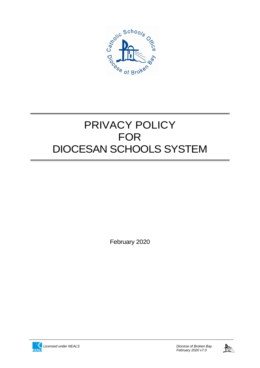

# PRIVACY POLICY FOR DIOCESAN SCHOOLS SYSTEM

February 2020



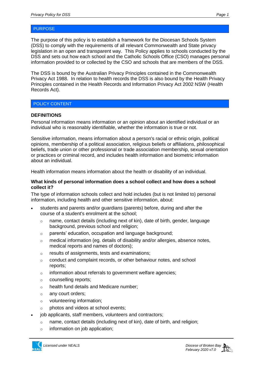The purpose of this policy is to establish a framework for the Diocesan Schools System (DSS) to comply with the requirements of all relevant Commonwealth and State privacy legislation in an open and transparent way. This Policy applies to schools conducted by the DSS and sets out how each school and the Catholic Schools Office (CSO) manages personal information provided to or collected by the CSO and schools that are members of the DSS.

The DSS is bound by the Australian Privacy Principles contained in the Commonwealth Privacy Act 1988. In relation to health records the DSS is also bound by the Health Privacy Principles contained in the Health Records and Information Privacy Act 2002 NSW (Health Records Act).

#### POLICY CONTENT

# **DEFINITIONS**

Personal information means information or an opinion about an identified individual or an individual who is reasonably identifiable, whether the information is true or not.

Sensitive information, means information about a person's racial or ethnic origin, political opinions, membership of a political association, religious beliefs or affiliations, philosophical beliefs, trade union or other professional or trade association membership, sexual orientation or practices or criminal record, and includes health information and biometric information about an individual.

Health information means information about the health or disability of an individual.

#### **What kinds of personal information does a school collect and how does a school collect it?**

The type of information schools collect and hold includes (but is not limited to) personal information, including health and other sensitive information, about:

- students and parents and/or guardians (parents) before, during and after the course of a student's enrolment at the school;
	- $\circ$  name, contact details (including next of kin), date of birth, gender, language background, previous school and religion;
	- o parents' education, occupation and language background;
	- $\circ$  medical information (eg. details of disability and/or allergies, absence notes, medical reports and names of doctors);
	- o results of assignments, tests and examinations;
	- $\circ$  conduct and complaint records, or other behaviour notes, and school reports;
	- o information about referrals to government welfare agencies;
	- o counselling reports;
	- o health fund details and Medicare number;
	- o any court orders;
	- o volunteering information;
	- o photos and videos at school events;
- job applicants, staff members, volunteers and contractors;
	- o name, contact details (including next of kin), date of birth, and religion;
	- $\circ$  information on job application;

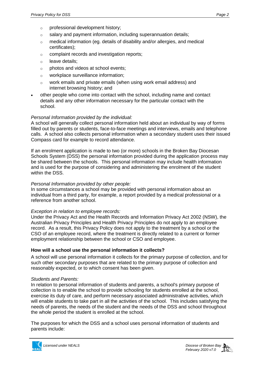- o professional development history;
- $\circ$  salary and payment information, including superannuation details;
- $\circ$  medical information (eg. details of disability and/or allergies, and medical certificates);
- o complaint records and investigation reports;
- o leave details;
- o photos and videos at school events;
- o workplace surveillance information;
- o work emails and private emails (when using work email address) and internet browsing history; and
- other people who come into contact with the school, including name and contact details and any other information necessary for the particular contact with the school.

# *Personal Information provided by the individual:*

A school will generally collect personal information held about an individual by way of forms filled out by parents or students, face-to-face meetings and interviews, emails and telephone calls. A school also collects personal information when a secondary student uses their issued Compass card for example to record attendance.

If an enrolment application is made to two (or more) schools in the Broken Bay Diocesan Schools System (DSS) the personal information provided during the application process may be shared between the schools. This personal information may include health information and is used for the purpose of considering and administering the enrolment of the student within the DSS.

### *Personal Information provided by other people:*

In some circumstances a school may be provided with personal information about an individual from a third party, for example, a report provided by a medical professional or a reference from another school.

# *Exception in relation to employee records:*

Under the Privacy Act and the Health Records and Information Privacy Act 2002 (NSW), the Australian Privacy Principles and Health Privacy Principles do not apply to an employee record. As a result, this Privacy Policy does not apply to the treatment by a school or the CSO of an employee record, where the treatment is directly related to a current or former employment relationship between the school or CSO and employee.

# **How will a school use the personal information it collects?**

A school will use personal information it collects for the primary purpose of collection, and for such other secondary purposes that are related to the primary purpose of collection and reasonably expected, or to which consent has been given.

# *Students and Parents:*

In relation to personal information of students and parents, a school's primary purpose of collection is to enable the school to provide schooling for students enrolled at the school, exercise its duty of care, and perform necessary associated administrative activities, which will enable students to take part in all the activities of the school. This includes satisfying the needs of parents, the needs of the student and the needs of the DSS and school throughout the whole period the student is enrolled at the school.

The purposes for which the DSS and a school uses personal information of students and parents include:

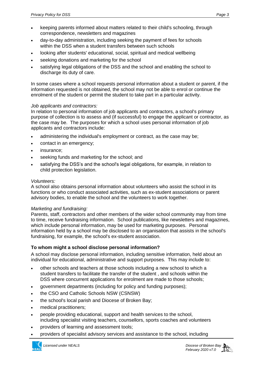- keeping parents informed about matters related to their child's schooling, through correspondence, newsletters and magazines
- day-to-day administration, including seeking the payment of fees for schools within the DSS when a student transfers between such schools
- looking after students' educational, social, spiritual and medical wellbeing
- seeking donations and marketing for the school
- satisfying legal obligations of the DSS and the school and enabling the school to discharge its duty of care.

In some cases where a school requests personal information about a student or parent, if the information requested is not obtained, the school may not be able to enrol or continue the enrolment of the student or permit the student to take part in a particular activity.

#### *Job applicants and contractors:*

In relation to personal information of job applicants and contractors, a school's primary purpose of collection is to assess and (if successful) to engage the applicant or contractor, as the case may be. The purposes for which a school uses personal information of job applicants and contractors include:

- administering the individual's employment or contract, as the case may be;
- contact in an emergency;
- insurance;
- seeking funds and marketing for the school; and
- satisfying the DSS's and the school's legal obligations, for example, in relation to child protection legislation.

# *Volunteers:*

A school also obtains personal information about volunteers who assist the school in its functions or who conduct associated activities, such as ex-student associations or parent advisory bodies, to enable the school and the volunteers to work together.

# *Marketing and fundraising:*

Parents, staff, contractors and other members of the wider school community may from time to time, receive fundraising information. School publications, like newsletters and magazines, which include personal information, may be used for marketing purposes. Personal information held by a school may be disclosed to an organisation that assists in the school's fundraising, for example, the school's ex-student association.

# **To whom might a school disclose personal information?**

A school may disclose personal information, including sensitive information, held about an individual for educational, administrative and support purposes. This may include to:

- other schools and teachers at those schools including a new school to which a student transfers to facilitate the transfer of the student , and schools within the DSS where concurrent applications for enrolment are made to those schools;
- government departments (including for policy and funding purposes);
- the CSO and Catholic Schools NSW (CSNSW)
- the school's local parish and Diocese of Broken Bay;
- medical practitioners;
- people providing educational, support and health services to the school, including specialist visiting teachers, counsellors, sports coaches and volunteers
- providers of learning and assessment tools;
- providers of specialist advisory services and assistance to the school, including

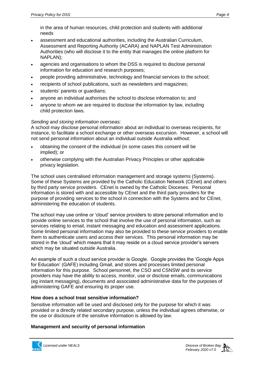in the area of human resources, child protection and students with additional needs

- assessment and educational authorities, including the Australian Curriculum, Assessment and Reporting Authority (ACARA) and NAPLAN Test Administration Authorities (who will disclose it to the entity that manages the online platform for NAPLAN);
- agencies and organisations to whom the DSS is required to disclose personal information for education and research purposes;
- people providing administrative, technology and financial services to the school;
- recipients of school publications, such as newsletters and magazines;
- students' parents or guardians;
- anyone an individual authorises the school to disclose information to; and
- anyone to whom we are required to disclose the information by law, including child protection laws.

# *Sending and storing information overseas:*

A school may disclose personal information about an individual to overseas recipients, for instance, to facilitate a school exchange or other overseas excursion. However, a school will not send personal information about an individual outside Australia without:

- obtaining the consent of the individual (in some cases this consent will be implied); or
- otherwise complying with the Australian Privacy Principles or other applicable privacy legislation.

The school uses centralised information management and storage systems (Systems). Some of these Systems are provided by the Catholic Education Network (CEnet) and others by third party service providers. CEnet is owned by the Catholic Dioceses. Personal information is stored with and accessible by CEnet and the third party providers for the purpose of providing services to the school in connection with the Systems and for CEnet, administering the education of students.

The school may use online or 'cloud' service providers to store personal information and to provide online services to the school that involve the use of personal information, such as services relating to email, instant messaging and education and assessment applications. Some limited personal information may also be provided to these service providers to enable them to authenticate users and access their services. This personal information may be stored in the 'cloud' which means that it may reside on a cloud service provider's servers which may be situated outside Australia.

An example of such a cloud service provider is Google. Google provides the 'Google Apps for Education' (GAFE) including Gmail, and stores and processes limited personal information for this purpose. School personnel, the CSO and CSNSW and its service providers may have the ability to access, monitor, use or disclose emails, communications (eg instant messaging), documents and associated administrative data for the purposes of administering GAFE and ensuring its proper use.

# **How does a school treat sensitive information?**

Sensitive information will be used and disclosed only for the purpose for which it was provided or a directly related secondary purpose, unless the individual agrees otherwise, or the use or disclosure of the sensitive information is allowed by law.

# **Management and security of personal information**

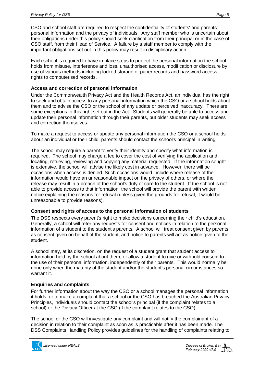CSO and school staff are required to respect the confidentiality of students' and parents' personal information and the privacy of individuals. Any staff member who is uncertain about their obligations under this policy should seek clarification from their principal or in the case of CSO staff, from their Head of Service. A failure by a staff member to comply with the important obligations set out in this policy may result in disciplinary action.

Each school is required to have in place steps to protect the personal information the school holds from misuse, interference and loss, unauthorised access, modification or disclosure by use of various methods including locked storage of paper records and password access rights to computerised records.

# **Access and correction of personal information**

Under the Commonwealth Privacy Act and the Health Records Act, an individual has the right to seek and obtain access to any personal information which the CSO or a school holds about them and to advise the CSO or the school of any update or perceived inaccuracy. There are some exceptions to this right set out in the Act. Students will generally be able to access and update their personal information through their parents, but older students may seek access and correction themselves.

To make a request to access or update any personal information the CSO or a school holds about an individual or their child, parents should contact the school's principal in writing.

The school may require a parent to verify their identity and specify what information is required. The school may charge a fee to cover the cost of verifying the application and locating, retrieving, reviewing and copying any material requested. If the information sought is extensive, the school will advise the likely cost in advance. However, there will be occasions when access is denied. Such occasions would include where release of the information would have an unreasonable impact on the privacy of others, or where the release may result in a breach of the school's duty of care to the student. If the school is not able to provide access to that information, the school will provide the parent with written notice explaining the reasons for refusal (unless given the grounds for refusal, it would be unreasonable to provide reasons).

# **Consent and rights of access to the personal information of students**

The DSS respects every parent's right to make decisions concerning their child's education. Generally, a school will refer any requests for consent and notices in relation to the personal information of a student to the student's parents. A school will treat consent given by parents as consent given on behalf of the student, and notice to parents will act as notice given to the student.

A school may, at its discretion, on the request of a student grant that student access to information held by the school about them, or allow a student to give or withhold consent to the use of their personal information, independently of their parents. This would normally be done only when the maturity of the student and/or the student's personal circumstances so warrant it.

# **Enquiries and complaints**

For further information about the way the CSO or a school manages the personal information it holds, or to make a complaint that a school or the CSO has breached the Australian Privacy Principles, individuals should contact the school's principal (if the complaint relates to a school) or the Privacy Officer at the CSO (if the complaint relates to the CSO).

The school or the CSO will investigate any complaint and will notify the complainant of a decision in relation to their complaint as soon as is practicable after it has been made. The DSS Complaints Handling Policy provides guidelines for the handling of complaints relating to